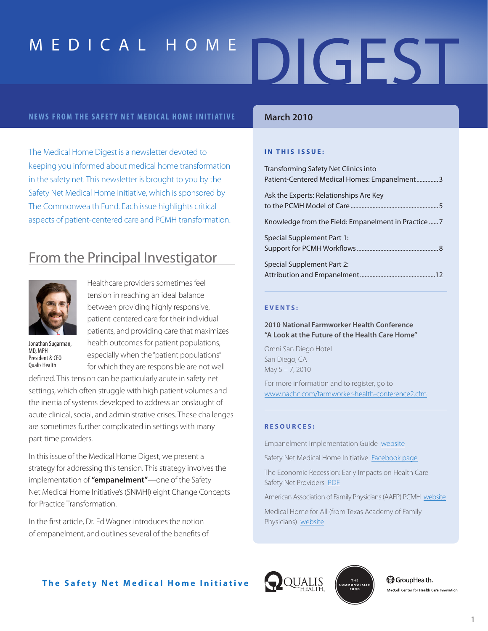#### **NEWS FROM THE SAFETY NET MEDICAL HOME INITIATIVE**

The Medical Home Digest is a newsletter devoted to keeping you informed about medical home transformation in the safety net. This newsletter is brought to you by the Safety Net Medical Home Initiative, which is sponsored by The Commonwealth Fund. Each issue highlights critical aspects of patient-centered care and PCMH transformation.

### From the Principal Investigator



Healthcare providers sometimes feel tension in reaching an ideal balance between providing highly responsive, patient-centered care for their individual patients, and providing care that maximizes health outcomes for patient populations, especially when the "patient populations" for which they are responsible are not well

Jonathan Sugarman, MD, MPH President & CEO Qualis Health

defined. This tension can be particularly acute in safety net settings, which often struggle with high patient volumes and the inertia of systems developed to address an onslaught of acute clinical, social, and administrative crises. These challenges are sometimes further complicated in settings with many part-time providers.

In this issue of the Medical Home Digest, we present a strategy for addressing this tension. This strategy involves the implementation of **"empanelment"**—one of the Safety Net Medical Home Initiative's (SNMHI) eight Change Concepts for Practice Transformation.

In the first article, Dr. Ed Wagner introduces the notion of empanelment, and outlines several of the benefits of

### **March 2010**

#### **IN THIS ISSUE:**

| Transforming Safety Net Clinics into<br>Patient-Centered Medical Homes: Empanelment3 |
|--------------------------------------------------------------------------------------|
| Ask the Experts: Relationships Are Key                                               |
|                                                                                      |
| Special Supplement Part 1:                                                           |
| Special Supplement Part 2:                                                           |

#### **E V E N T S :**

**2010 National Farmworker Health Conference "A Look at the Future of the Health Care Home"** 

Omni San Diego Hotel San Diego, CA May 5 – 7, 2010

For more information and to register, go to www.nachc.com/farmworker-health-conference2.cfm

#### **R E S O U R C E S :**

Empanelment Implementation Guide website

Safety Net Medical Home Initiative Facebook page

The Economic Recession: Early Impacts on Health Care Safety Net Providers PDF

American Association of Family Physicians (AAFP) PCMH website

Medical Home for All (from Texas Academy of Family Physicians) website





**ිවී GroupHealth.** MacColl Center for Health Care Innovation

### **The Safety Net Medical Home Initiative**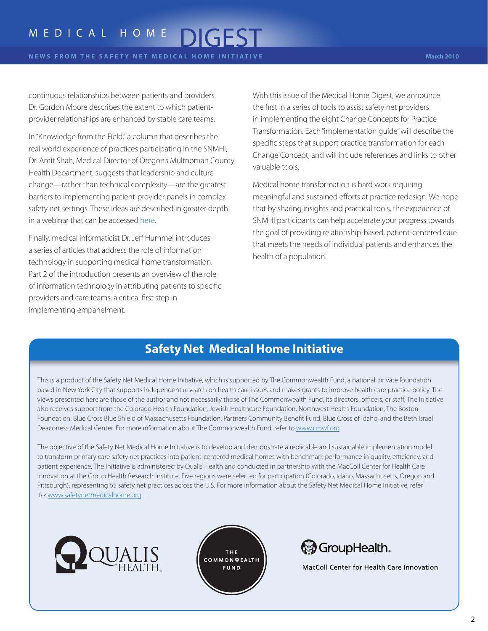continuous relationships between patients and providers. Dr. Gordon Moore describes the extent to which patientprovider relationships are enhanced by stable care teams.

In "Knowledge from the Field," a column that describes the real world experience of practices participating in the SNMHI, Dr. Amit Shah, Medical Director of Oregon's Multnomah County Health Department, suggests that leadership and culture change—rather than technical complexity—are the greatest barriers to implementing patient-provider panels in complex safety net settings. These ideas are described in greater depth in a webinar that can be accessed here.

Finally, medical informaticist Dr. Jeff Hummel introduces a series of articles that address the role of information technology in supporting medical home transformation. Part 2 of the introduction presents an overview of the role of information technology in attributing patients to specific providers and care teams, a critical first step in implementing empanelment.

With this issue of the Medical Home Digest, we announce the first in a series of tools to assist safety net providers in implementing the eight Change Concepts for Practice Transformation. Each "implementation guide" will describe the specific steps that support practice transformation for each Change Concept, and will include references and links to other valuable tools.

Medical home transformation is hard work requiring meaningful and sustained efforts at practice redesign. We hope that by sharing insights and practical tools, the experience of SNMHI participants can help accelerate your progress towards the goal of providing relationship-based, patient-centered care that meets the needs of individual patients and enhances the health of a population.

### **Safety Net Medical Home Initiative**

This is a product of the Safety Net Medical Home Initiative, which is supported by The Commonwealth Fund, a national, private foundation based in New York City that supports independent research on health care issues and makes grants to improve health care practice policy. The views presented here are those of the author and not necessarily those of The Commonwealth Fund, its directors, officers, or staff. The Initiative also receives support from the Colorado Health Foundation, Jewish Healthcare Foundation, Northwest Health Foundation, The Boston Foundation, Blue Cross Blue Shield of Massachusetts Foundation, Partners Community Benefit Fund, Blue Cross of Idaho, and the Beth Israel Deaconess Medical Center. For more information about The Commonwealth Fund, refer to www.cmwf.org.

The objective of the Safety Net Medical Home Initiative is to develop and demonstrate a replicable and sustainable implementation model to transform primary care safety net practices into patient-centered medical homes with benchmark performance in quality, efficiency, and patient experience. The Initiative is administered by Qualis Health and conducted in partnership with the MacColl Center for Health Care Innovation at the Group Health Research Institute. Five regions were selected for participation (Colorado, Idaho, Massachusetts, Oregon and Pittsburgh), representing 65 safety net practices across the U.S. For more information about the Safety Net Medical Home Initiative, refer to: www.safetynetmedicalhome.org.







MacColl Center for Health Care Innovation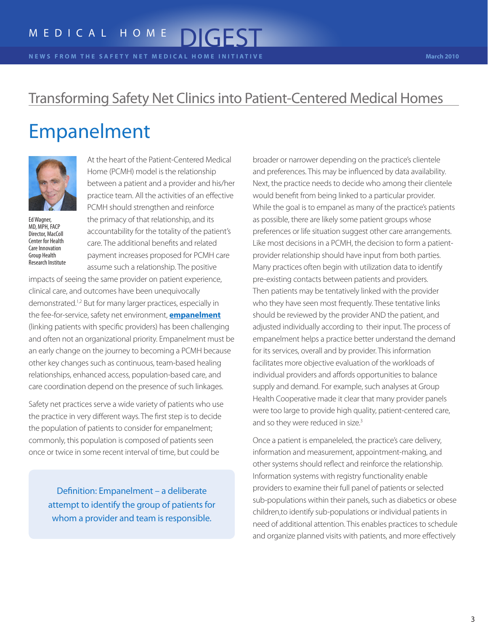**N E W S F R O M T H E S A F E T Y N E T M E D I C A L H O M E I N I T I A T I V E March 2010**

### Transforming Safety Net Clinics into Patient-Centered Medical Homes

### Empanelment



Ed Wagner, MD, MPH, FACP Director, MacColl Center for Health Care Innovation Group Health Research Institute

At the heart of the Patient-Centered Medical Home (PCMH) model is the relationship between a patient and a provider and his/her practice team. All the activities of an effective PCMH should strengthen and reinforce the primacy of that relationship, and its accountability for the totality of the patient's care. The additional benefits and related payment increases proposed for PCMH care assume such a relationship. The positive

impacts of seeing the same provider on patient experience, clinical care, and outcomes have been unequivocally demonstrated.<sup>1,2</sup> But for many larger practices, especially in the fee-for-service, safety net environment, **empanelment** (linking patients with specific providers) has been challenging and often not an organizational priority. Empanelment must be an early change on the journey to becoming a PCMH because other key changes such as continuous, team-based healing relationships, enhanced access, population-based care, and care coordination depend on the presence of such linkages.

Safety net practices serve a wide variety of patients who use the practice in very different ways. The first step is to decide the population of patients to consider for empanelment; commonly, this population is composed of patients seen once or twice in some recent interval of time, but could be

> Definition: Empanelment – a deliberate attempt to identify the group of patients for whom a provider and team is responsible.

broader or narrower depending on the practice's clientele and preferences. This may be influenced by data availability. Next, the practice needs to decide who among their clientele would benefit from being linked to a particular provider. While the goal is to empanel as many of the practice's patients as possible, there are likely some patient groups whose preferences or life situation suggest other care arrangements. Like most decisions in a PCMH, the decision to form a patientprovider relationship should have input from both parties. Many practices often begin with utilization data to identify pre-existing contacts between patients and providers. Then patients may be tentatively linked with the provider who they have seen most frequently. These tentative links should be reviewed by the provider AND the patient, and adjusted individually according to their input. The process of empanelment helps a practice better understand the demand for its services, overall and by provider. This information facilitates more objective evaluation of the workloads of individual providers and affords opportunities to balance supply and demand. For example, such analyses at Group Health Cooperative made it clear that many provider panels were too large to provide high quality, patient-centered care, and so they were reduced in size.<sup>3</sup>

Once a patient is empaneleled, the practice's care delivery, information and measurement, appointment-making, and other systems should reflect and reinforce the relationship. Information systems with registry functionality enable providers to examine their full panel of patients or selected sub-populations within their panels, such as diabetics or obese children,to identify sub-populations or individual patients in need of additional attention. This enables practices to schedule and organize planned visits with patients, and more effectively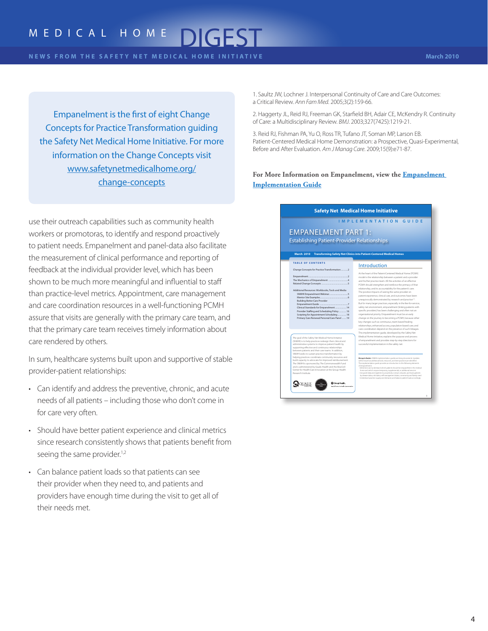### M E D I C A L H O M E

Empanelment is the first of eight Change Concepts for Practice Transformation guiding the Safety Net Medical Home Initiative. For more information on the Change Concepts visit www.safetynetmedicalhome.org/ change-concepts

use their outreach capabilities such as community health workers or promotoras, to identify and respond proactively to patient needs. Empanelment and panel-data also facilitate the measurement of clinical performance and reporting of feedback at the individual provider level, which has been shown to be much more meaningful and influential to staff than practice-level metrics. Appointment, care management and care coordination resources in a well-functioning PCMH assure that visits are generally with the primary care team, and that the primary care team receives timely information about care rendered by others.

In sum, healthcare systems built upon and supportive of stable provider-patient relationships:

- Can identify and address the preventive, chronic, and acute needs of all patients – including those who don't come in for care very often.
- Should have better patient experience and clinical metrics since research consistently shows that patients benefit from seeing the same provider.<sup>1,2</sup>
- Can balance patient loads so that patients can see their provider when they need to, and patients and providers have enough time during the visit to get all of their needs met.

1. Saultz JW, Lochner J. Interpersonal Continuity of Care and Care Outcomes: a Critical Review. *Ann Fam Med*. 2005;3(2):159-66.

2. Haggerty JL, Reid RJ, Freeman GK, Starfield BH, Adair CE, McKendry R. Continuity of Care: a Multidisciplinary Review. *BMJ*. 2003;327(7425):1219-21.

3. Reid RJ, Fishman PA, Yu O, Ross TR, Tufano JT, Soman MP, Larson EB. Patient-Centered Medical Home Demonstration: a Prospective, Quasi-Experimental, Before and After Evaluation. *Am J Manag Care*. 2009;15(9):e71-87.

**For More Information on Empanelment, view the Empanelment Implementation Guide**

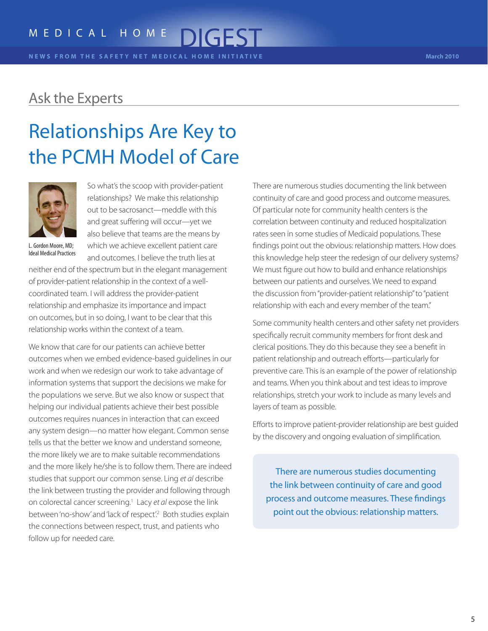**N E W S F R O M T H E S A F E T Y N E T M E D I C A L H O M E I N I T I A T I V E March 2010**

### Ask the Experts

# Relationships Are Key to the PCMH Model of Care



L. Gordon Moore, MD; Ideal Medical Practices

So what's the scoop with provider-patient relationships? We make this relationship out to be sacrosanct—meddle with this and great suffering will occur—yet we also believe that teams are the means by which we achieve excellent patient care and outcomes. I believe the truth lies at

neither end of the spectrum but in the elegant management of provider-patient relationship in the context of a wellcoordinated team. I will address the provider-patient relationship and emphasize its importance and impact on outcomes, but in so doing, I want to be clear that this relationship works within the context of a team.

We know that care for our patients can achieve better outcomes when we embed evidence-based guidelines in our work and when we redesign our work to take advantage of information systems that support the decisions we make for the populations we serve. But we also know or suspect that helping our individual patients achieve their best possible outcomes requires nuances in interaction that can exceed any system design—no matter how elegant. Common sense tells us that the better we know and understand someone, the more likely we are to make suitable recommendations and the more likely he/she is to follow them. There are indeed studies that support our common sense. Ling *et al* describe the link between trusting the provider and following through on colorectal cancer screening.<sup>1</sup> Lacy et al expose the link between 'no-show' and 'lack of respect'.<sup>2</sup> Both studies explain the connections between respect, trust, and patients who follow up for needed care.

There are numerous studies documenting the link between continuity of care and good process and outcome measures. Of particular note for community health centers is the correlation between continuity and reduced hospitalization rates seen in some studies of Medicaid populations. These findings point out the obvious: relationship matters. How does this knowledge help steer the redesign of our delivery systems? We must figure out how to build and enhance relationships between our patients and ourselves. We need to expand the discussion from "provider-patient relationship" to "patient relationship with each and every member of the team."

Some community health centers and other safety net providers specifically recruit community members for front desk and clerical positions. They do this because they see a benefit in patient relationship and outreach efforts—particularly for preventive care. This is an example of the power of relationship and teams. When you think about and test ideas to improve relationships, stretch your work to include as many levels and layers of team as possible.

Efforts to improve patient-provider relationship are best guided by the discovery and ongoing evaluation of simplification.

There are numerous studies documenting the link between continuity of care and good process and outcome measures. These findings point out the obvious: relationship matters.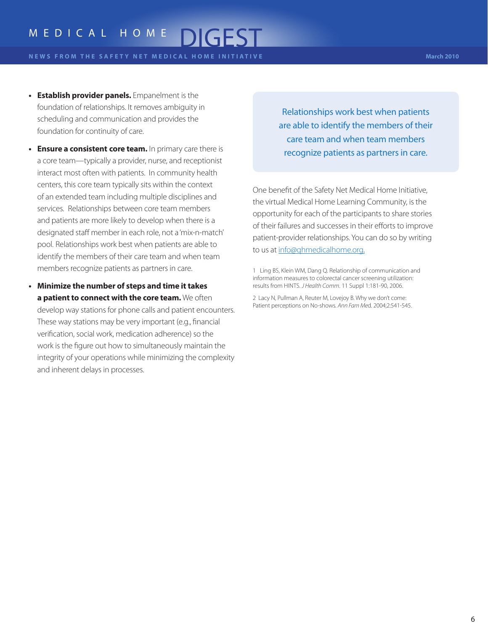**N E W S F R O M T H E S A F E T Y N E T M E D I C A L H O M E I N I T I A T I V E March 2010**

- **• Establish provider panels.** Empanelment is the foundation of relationships. It removes ambiguity in scheduling and communication and provides the foundation for continuity of care.
- **• Ensure a consistent core team.** In primary care there is a core team—typically a provider, nurse, and receptionist interact most often with patients. In community health centers, this core team typically sits within the context of an extended team including multiple disciplines and services. Relationships between core team members and patients are more likely to develop when there is a designated staff member in each role, not a 'mix-n-match' pool. Relationships work best when patients are able to identify the members of their care team and when team members recognize patients as partners in care.
- **• Minimize the number of steps and time it takes a patient to connect with the core team.** We often develop way stations for phone calls and patient encounters. These way stations may be very important (e.g., financial verification, social work, medication adherence) so the work is the figure out how to simultaneously maintain the integrity of your operations while minimizing the complexity and inherent delays in processes.

Relationships work best when patients are able to identify the members of their care team and when team members recognize patients as partners in care.

One benefit of the Safety Net Medical Home Initiative, the virtual Medical Home Learning Community, is the opportunity for each of the participants to share stories of their failures and successes in their efforts to improve patient-provider relationships. You can do so by writing to us at info@qhmedicalhome.org.

2 Lacy N, Pullman A, Reuter M, Lovejoy B. Why we don't come: Patient perceptions on No-shows. *Ann Fam Me*d. 2004;2:541-545.

<sup>1</sup> Ling BS, Klein WM, Dang Q. Relationship of communication and information measures to colorectal cancer screening utilization: results from HINTS. *J Health Comm*. 11 Suppl 1:181-90, 2006.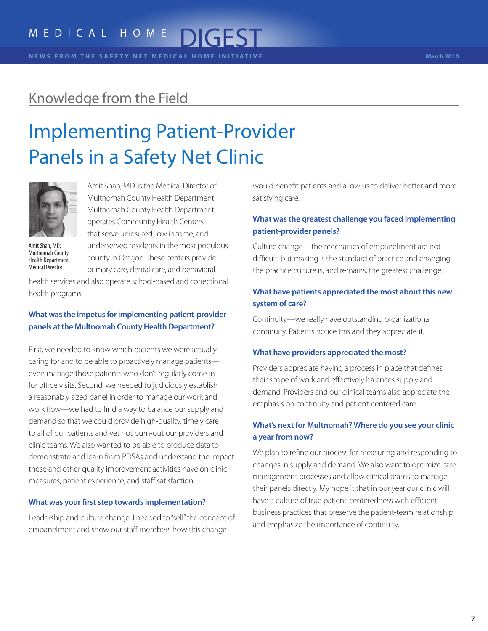**N E W S F R O M T H E S A F E T Y N E T M E D I C A L H O M E I N I T I A T I V E March 2010**

### Knowledge from the Field

# Implementing Patient-Provider Panels in a Safety Net Clinic



Amit Shah, MD;

Amit Shah, MD, is the Medical Director of Multnomah County Health Department. Multnomah County Health Department operates Community Health Centers that serve uninsured, low income, and underserved residents in the most populous county in Oregon. These centers provide primary care, dental care, and behavioral

Multnomah County Health Department Medical Director

health services and also operate school-based and correctional health programs.

### **What was the impetus for implementing patient-provider panels at the Multnomah County Health Department?**

First, we needed to know which patients we were actually caring for and to be able to proactively manage patients even manage those patients who don't regularly come in for office visits. Second, we needed to judiciously establish a reasonably sized panel in order to manage our work and work flow—we had to find a way to balance our supply and demand so that we could provide high-quality, timely care to all of our patients and yet not burn-out our providers and clinic teams. We also wanted to be able to produce data to demonstrate and learn from PDSAs and understand the impact these and other quality improvement activities have on clinic measures, patient experience, and staff satisfaction.

#### **What was your first step towards implementation?**

Leadership and culture change. I needed to "sell" the concept of empanelment and show our staff members how this change

would benefit patients and allow us to deliver better and more satisfying care.

#### **What was the greatest challenge you faced implementing patient-provider panels?**

Culture change—the mechanics of empanelment are not difficult, but making it the standard of practice and changing the practice culture is, and remains, the greatest challenge.

#### **What have patients appreciated the most about this new system of care?**

Continuity—we really have outstanding organizational continuity. Patients notice this and they appreciate it.

#### **What have providers appreciated the most?**

Providers appreciate having a process in place that defines their scope of work and effectively balances supply and demand. Providers and our clinical teams also appreciate the emphasis on continuity and patient-centered care.

### **What's next for Multnomah? Where do you see your clinic a year from now?**

We plan to refine our process for measuring and responding to changes in supply and demand. We also want to optimize care management processes and allow clinical teams to manage their panels directly. My hope it that in our year our clinic will have a culture of true patient-centeredness with efficient business practices that preserve the patient-team relationship and emphasize the importance of continuity.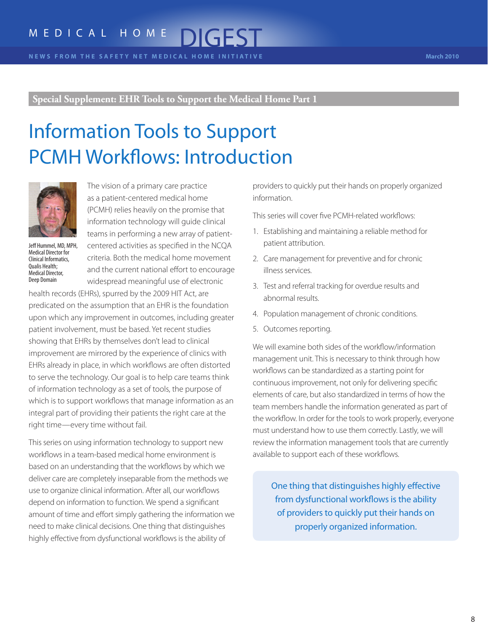## Information Tools to Support PCMH Workflows: Introduction



Jeff Hummel, MD, MPH, Medical Director for Clinical Informatics, Qualis Health; Medical Director, Deep Domain

The vision of a primary care practice as a patient-centered medical home (PCMH) relies heavily on the promise that information technology will guide clinical teams in performing a new array of patientcentered activities as specified in the NCQA criteria. Both the medical home movement and the current national effort to encourage widespread meaningful use of electronic

health records (EHRs), spurred by the 2009 HIT Act, are predicated on the assumption that an EHR is the foundation upon which any improvement in outcomes, including greater patient involvement, must be based. Yet recent studies showing that EHRs by themselves don't lead to clinical improvement are mirrored by the experience of clinics with EHRs already in place, in which workflows are often distorted to serve the technology. Our goal is to help care teams think of information technology as a set of tools, the purpose of which is to support workflows that manage information as an integral part of providing their patients the right care at the right time—every time without fail.

This series on using information technology to support new workflows in a team-based medical home environment is based on an understanding that the workflows by which we deliver care are completely inseparable from the methods we use to organize clinical information. After all, our workflows depend on information to function. We spend a significant amount of time and effort simply gathering the information we need to make clinical decisions. One thing that distinguishes highly effective from dysfunctional workflows is the ability of

providers to quickly put their hands on properly organized information.

This series will cover five PCMH-related workflows:

- 1. Establishing and maintaining a reliable method for patient attribution.
- 2. Care management for preventive and for chronic illness services.
- 3. Test and referral tracking for overdue results and abnormal results.
- 4. Population management of chronic conditions.
- 5. Outcomes reporting.

We will examine both sides of the workflow/information management unit. This is necessary to think through how workflows can be standardized as a starting point for continuous improvement, not only for delivering specific elements of care, but also standardized in terms of how the team members handle the information generated as part of the workflow. In order for the tools to work properly, everyone must understand how to use them correctly. Lastly, we will review the information management tools that are currently available to support each of these workflows.

One thing that distinguishes highly effective from dysfunctional workflows is the ability of providers to quickly put their hands on properly organized information.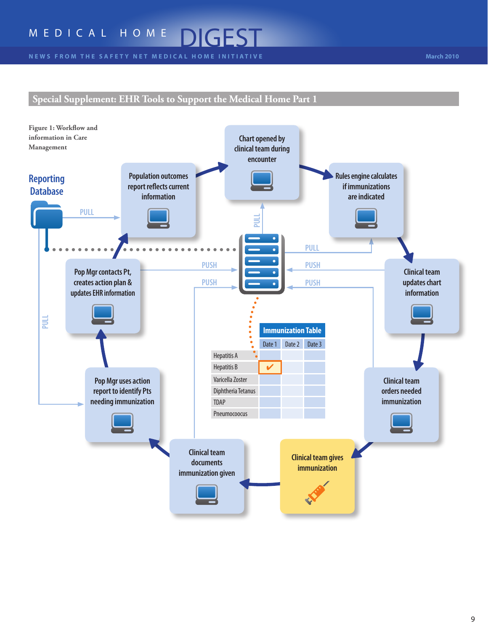### **Special Supplement: EHR Tools to Support the Medical Home Part 1**

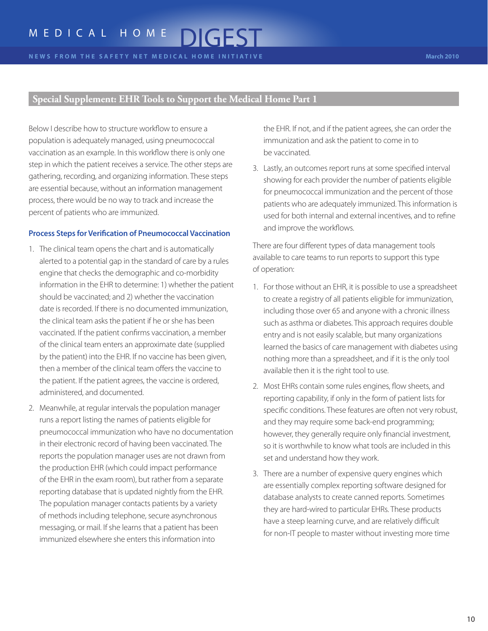Below I describe how to structure workflow to ensure a population is adequately managed, using pneumococcal vaccination as an example. In this workflow there is only one step in which the patient receives a service. The other steps are gathering, recording, and organizing information. These steps are essential because, without an information management process, there would be no way to track and increase the percent of patients who are immunized.

#### **Process Steps for Verification of Pneumococcal Vaccination**

- 1. The clinical team opens the chart and is automatically alerted to a potential gap in the standard of care by a rules engine that checks the demographic and co-morbidity information in the EHR to determine: 1) whether the patient should be vaccinated; and 2) whether the vaccination date is recorded. If there is no documented immunization, the clinical team asks the patient if he or she has been vaccinated. If the patient confirms vaccination, a member of the clinical team enters an approximate date (supplied by the patient) into the EHR. If no vaccine has been given, then a member of the clinical team offers the vaccine to the patient. If the patient agrees, the vaccine is ordered, administered, and documented.
- 2. Meanwhile, at regular intervals the population manager runs a report listing the names of patients eligible for pneumococcal immunization who have no documentation in their electronic record of having been vaccinated. The reports the population manager uses are not drawn from the production EHR (which could impact performance of the EHR in the exam room), but rather from a separate reporting database that is updated nightly from the EHR. The population manager contacts patients by a variety of methods including telephone, secure asynchronous messaging, or mail. If she learns that a patient has been immunized elsewhere she enters this information into

the EHR. If not, and if the patient agrees, she can order the immunization and ask the patient to come in to be vaccinated.

3. Lastly, an outcomes report runs at some specified interval showing for each provider the number of patients eligible for pneumococcal immunization and the percent of those patients who are adequately immunized. This information is used for both internal and external incentives, and to refine and improve the workflows.

There are four different types of data management tools available to care teams to run reports to support this type of operation:

- 1. For those without an EHR, it is possible to use a spreadsheet to create a registry of all patients eligible for immunization, including those over 65 and anyone with a chronic illness such as asthma or diabetes. This approach requires double entry and is not easily scalable, but many organizations learned the basics of care management with diabetes using nothing more than a spreadsheet, and if it is the only tool available then it is the right tool to use.
- 2. Most EHRs contain some rules engines, flow sheets, and reporting capability, if only in the form of patient lists for specific conditions. These features are often not very robust, and they may require some back-end programming; however, they generally require only financial investment, so it is worthwhile to know what tools are included in this set and understand how they work.
- 3. There are a number of expensive query engines which are essentially complex reporting software designed for database analysts to create canned reports. Sometimes they are hard-wired to particular EHRs. These products have a steep learning curve, and are relatively difficult for non-IT people to master without investing more time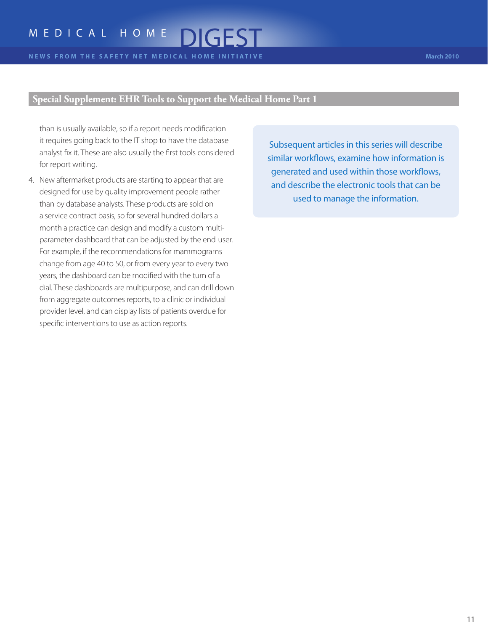than is usually available, so if a report needs modification it requires going back to the IT shop to have the database analyst fix it. These are also usually the first tools considered for report writing.

4. New aftermarket products are starting to appear that are designed for use by quality improvement people rather than by database analysts. These products are sold on a service contract basis, so for several hundred dollars a month a practice can design and modify a custom multiparameter dashboard that can be adjusted by the end-user. For example, if the recommendations for mammograms change from age 40 to 50, or from every year to every two years, the dashboard can be modified with the turn of a dial. These dashboards are multipurpose, and can drill down from aggregate outcomes reports, to a clinic or individual provider level, and can display lists of patients overdue for specific interventions to use as action reports.

Subsequent articles in this series will describe similar workflows, examine how information is generated and used within those workflows, and describe the electronic tools that can be used to manage the information.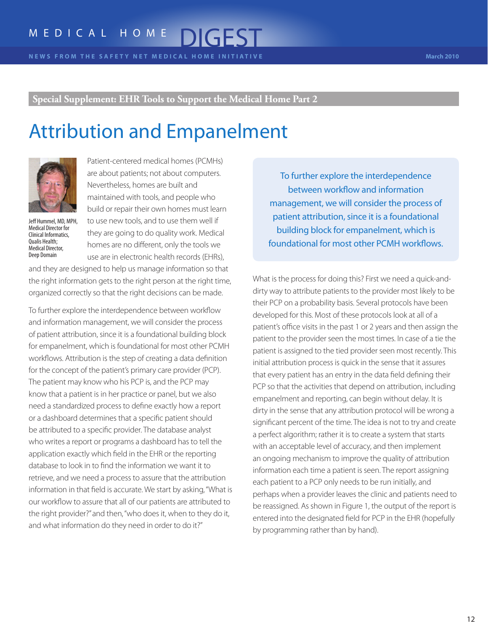### Attribution and Empanelment



Jeff Hummel, MD, MPH, Medical Director for Clinical Informatics, Qualis Health; Medical Director, Deep Domain

Patient-centered medical homes (PCMHs) are about patients; not about computers. Nevertheless, homes are built and maintained with tools, and people who build or repair their own homes must learn to use new tools, and to use them well if they are going to do quality work. Medical homes are no different, only the tools we use are in electronic health records (EHRs),

and they are designed to help us manage information so that the right information gets to the right person at the right time, organized correctly so that the right decisions can be made.

To further explore the interdependence between workflow and information management, we will consider the process of patient attribution, since it is a foundational building block for empanelment, which is foundational for most other PCMH workflows. Attribution is the step of creating a data definition for the concept of the patient's primary care provider (PCP). The patient may know who his PCP is, and the PCP may know that a patient is in her practice or panel, but we also need a standardized process to define exactly how a report or a dashboard determines that a specific patient should be attributed to a specific provider. The database analyst who writes a report or programs a dashboard has to tell the application exactly which field in the EHR or the reporting database to look in to find the information we want it to retrieve, and we need a process to assure that the attribution information in that field is accurate. We start by asking, "What is our workflow to assure that all of our patients are attributed to the right provider?" and then, "who does it, when to they do it, and what information do they need in order to do it?"

To further explore the interdependence between workflow and information management, we will consider the process of patient attribution, since it is a foundational building block for empanelment, which is foundational for most other PCMH workflows.

What is the process for doing this? First we need a quick-anddirty way to attribute patients to the provider most likely to be their PCP on a probability basis. Several protocols have been developed for this. Most of these protocols look at all of a patient's office visits in the past 1 or 2 years and then assign the patient to the provider seen the most times. In case of a tie the patient is assigned to the tied provider seen most recently. This initial attribution process is quick in the sense that it assures that every patient has an entry in the data field defining their PCP so that the activities that depend on attribution, including empanelment and reporting, can begin without delay. It is dirty in the sense that any attribution protocol will be wrong a significant percent of the time. The idea is not to try and create a perfect algorithm; rather it is to create a system that starts with an acceptable level of accuracy, and then implement an ongoing mechanism to improve the quality of attribution information each time a patient is seen. The report assigning each patient to a PCP only needs to be run initially, and perhaps when a provider leaves the clinic and patients need to be reassigned. As shown in Figure 1, the output of the report is entered into the designated field for PCP in the EHR (hopefully by programming rather than by hand).